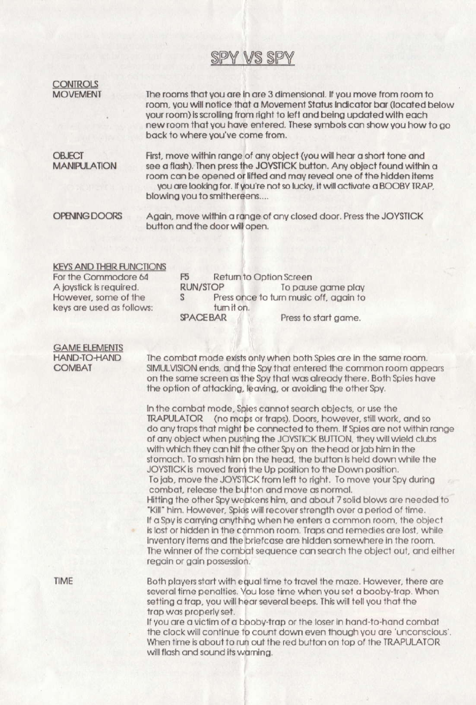# SPY VS SPY

**CONTROLS MOVEMENT** 

The rooms that you are in are 3 dimensional. If you move from room to room, you will notice that a Movement Status Indicator bar (located below your room) is scrolling from right to left and being updated with each new room that you have entered. These symbols can show you how to go back to where you've come from.

**OBJECT MANIPULATION**  First, move within range of any object (you will hear a short tone and see a flash). Then press the JOYSTICK button. Any object found within a room can be opened or lifted and may reveal one of the hidden items you are looking for. If you're not so lucky, it will activate a BOOBY TRAP, blowing you to smithereens....

OPENING DOORS

Again, move within a range of any closed door. Press the JOYSTICK button and the door will open.

### **KEYS AND THEIR FUNCTIONS** For the Commodore 64

A joystick is required. However, some of the keys are used as follows: F<sub>5</sub> Return to Option Screen **RUN/STOP** To pause game play  $S$ Press once to turn music off, again to tum it on. **SPACEBAR** Press to start game.

#### **GAME ELEMENTS HAND-TO-HAND COMBAT**

The combat mode exists only when both Spies are in the same room. SIMULVISION ends, and the Spy that entered the common room appears on the same screen as the Spy that was already there. Both Spies have the option of attacking, leaving, or avoiding the other Spy.

In the combat mode. Spies cannot search objects, or use the TRAPULATOR (no maps or traps). Doors, however, still work, and so do any traps that might be connected to them. If Spies are not within range of any object when pushing the JOYSTICK BUTTON, they will wield clubs with which they can hit the other Spy on the head or jab him in the stomach. To smash him on the head, the button is held down while the JOYSTICK is moved from the Up position to the Down position. To jab, move the JOYSTICK from left to right. To move your Spy during combat, release the button and move as normal. Hitting the other Spy weakens him, and about 7 solid blows are needed to "Kill" him. However, Spies will recover strength over a period of time. If a Spy is carrying anything when he enters a common room, the object is lost or hidden in the common room. Traps and remedies are lost, while inventory items and the briefcase are hidden somewhere in the room. The winner of the combat sequence can search the object out, and either regain or gain possession.

**TIME** 

Both players start with equal time to travel the maze. However, there are several time penalties. You lose time when you set a booby-trap. When setting a trap, you will hear several beeps. This will tell you that the trap was properly set.

If you are a victim of a booby-trap or the loser in hand-to-hand combat the clock will continue to count down even though you are 'unconscious'. When time is about to run out the red button on top of the TRAPULATOR will flash and sound its warning.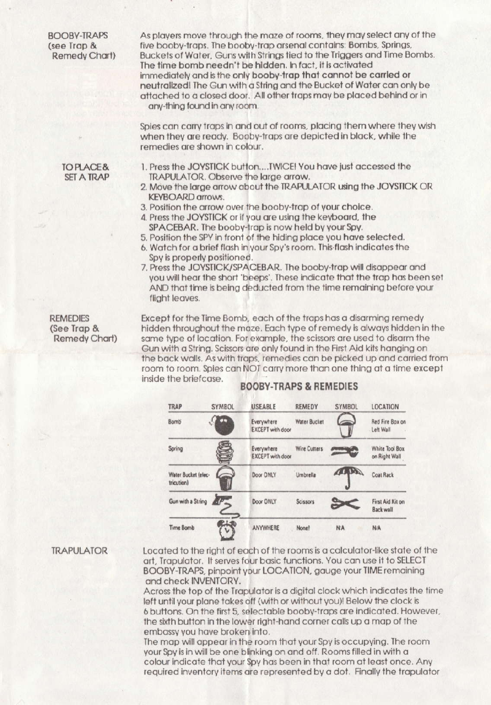**BOOBY-TRAPS** (see Trap & Remedy Chart) As players move through the maze of rooms, they may select any of the five booby-traps. The booby-trap arsenal contains: Bombs, Springs, Buckets of Water, Guns with Strings tied to the Triggers and Time Bombs. The time bomb needn't be hidden. In fact, it is activated immediately and is the only booby-trap that cannot be carried or neutralized! The Gun with a String and the Bucket of Water can only be attached to a closed door. All other traps may be placed behind or in any-thing found in any room.

Spies can carry traps in and out of rooms, placing them where they wish when they are ready. Booby-traps are depicted in black, while the remedies are shown in colour.

**TOPLACE& SFT A TRAP** 

- 1. Press the JOYSTICK button....TWICE! You have just accessed the **TRAPULATOR, Observe the large arrow.**
- 2. Move the large arrow about the TRAPULATOR using the JOYSTICK OR **KEYBOARD** arrows.
- 3. Position the arrow over the booby-trap of your choice.
- 4. Press the JOYSTICK or if you are using the keyboard, the SPACEBAR. The booby-trap is now held by your Spy.
- 5. Position the SPY in front of the hiding place you have selected.
- 6. Watch for a brief flash in your Spy's room. This flash indicates the Spy is properly positioned.
- 7. Press the JOYSTICK/SPACEBAR. The booby-trap will disappear and you will hear the short 'beeps'. These indicate that the trap has been set AND that time is being deducted from the time remaining before your flight leaves.

**REMEDIES** (See Trap & Remedy Chart) Except for the Time Bomb, each of the traps has a disarming remedy hidden throughout the maze. Each type of remedy is always hidden in the same type of location. For example, the scissors are used to disarm the Gun with a String. Scissors are only found in the First Aid kits hanging on the back walls. As with traps, remedies can be picked up and carried from room to room. Spies can NOT carry more than one thing at a time except inside the briefcase.

# **BOOBY-TRAPS & REMEDIES**



## **TRAPULATOR**

Located to the right of each of the rooms is a calculator-like state of the art, Trapulator. It serves four basic functions. You can use it to SELECT BOOBY-TRAPS, pinpoint your LOCATION, gauge your TIME remaining and check INVENTORY.

Across the top of the Trapulator is a digital clock which indicates the time left until your plane takes off (with or without you)! Below the clock is 6 buttons. On the first 5, selectable booby-traps are indicated. However, the sixth button in the lower right-hand corner calls up a map of the embassy you have broken into.

The map will appear in the room that your Spy is occupying. The room your Spy is in will be one blinking on and off. Rooms filled in with a colour indicate that your Spy has been in that room at least once. Any required inventory items are represented by a dot. Finally the trapulator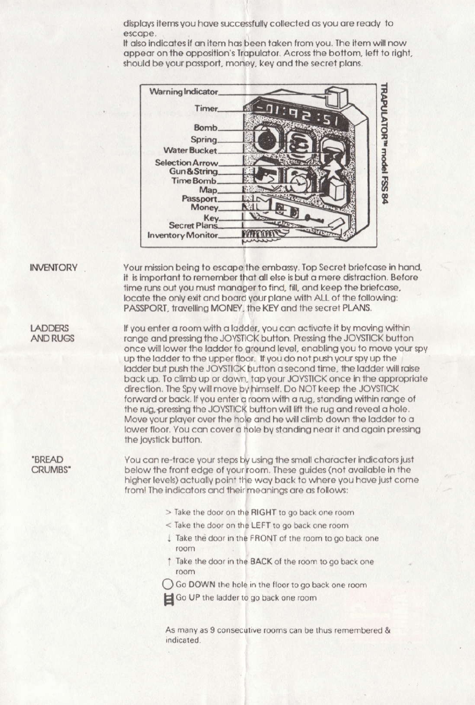displays items you have successfully collected as you are ready to escape.

It also indicates if an item has been taken from you. The item will now appear on the opposition's Trapulator. Across the bottom, left to right, should be your passport, money, key and the secret plans.



**INVENTORY** 

Your mission being to escape the embassy. Top Secret briefcase in hand, it is important to remember that all else is but a mere distraction. Before time runs out you must manager to find, fill, and keep the briefcase, locate the only exit and board your plane with ALL of the following: PASSPORT, travelling MONEY, the KEY and the secret PLANS.

**LADDERS AND RUGS**  If you enter a room with a ladder, you can activate it by moving within range and pressing the JOYSTICK button. Pressing the JOYSTICK button once will lower the ladder to ground level, enabling you to move your spy up the ladder to the upper floor. If you do not push your spy up the ladder but push the JOYSTICK button a second time, the ladder will raise back up. To climb up or down, tap your JOYSTICK once in the appropriate direction. The Spy will move by himself. Do NOT keep the JOYSTICK forward or back. If you enter a room with a rua, standing within range of the rug, pressing the JOYSTICK button will lift the rug and reveal a hole. Move your player over the hole and he will climb down the ladder to a lower floor. You can cover a hole by standing near it and again pressing the joystick button.

"BREAD **CRUMBS**\* You can re-trace your steps by using the small character indicators just below the front edge of your room. These guides (not available in the higher levels) actually point the way back to where you have just come from! The indicators and their meanings are as follows:

- > Take the door on the RIGHT to go back one room
- < Take the door on the LEFT to go back one room
- Take the door in the FRONT of the room to go back one room
- The the door in the BACK of the room to go back one room
- Go DOWN the hole in the floor to go back one room
- Go UP the ladder to go back one room

As many as 9 consecutive rooms can be thus remembered & indicated.